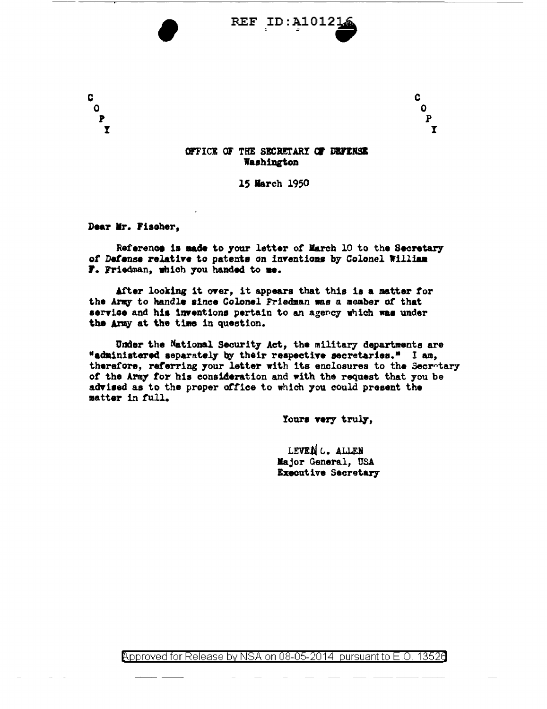

C.

 $\mathbf{o}$ 

 $\overline{P}$ 

 $\overline{\mathbf{r}}$ 

OFFICE OF THE SECRETARY OF DEFENSE Washington

15 March 1950

Dear Mr. Fischer,

C

 $\mathbf{o}$ 

 $\mathbf{P}$ 

 $\overline{\mathbf{r}}$ 

Reference is made to your letter of March 10 to the Secretary of Defense relative to patents on inventions by Colonel William F. Friedman, which you handed to me.

After looking it over, it appears that this is a matter for the Army to handle since Colonel Friedman mas a member of that service and his inventions pertain to an agency which was under the Army at the time in question.

Under the National Security Act, the military departments are "administered separately by their respective secretaries." I am, therefore, referring your letter with its enclosures to the Secretary of the Army for his consideration and with the request that you be advised as to the proper office to which you could present the matter in full.

Yours very truly,

LEVEN C. ALLEN Major General, USA **Executive Secretary** 

Approved for Release by NSA on 08-05-2014 pursuant to E.O. 13526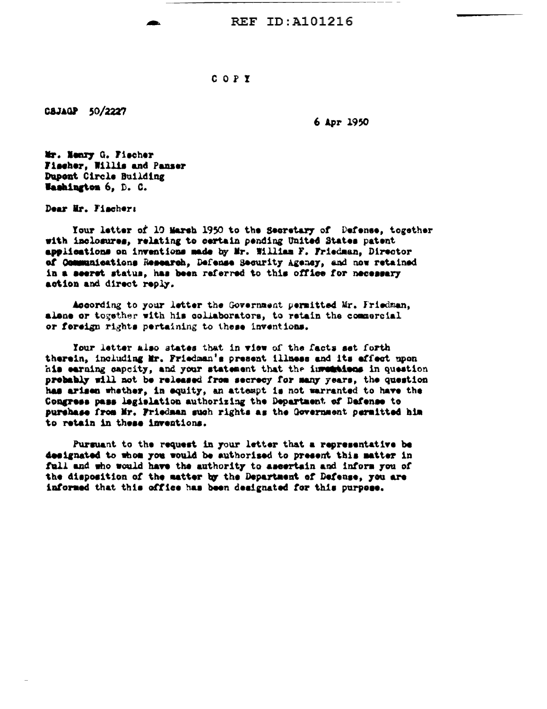REF ID: A101216

## COPY

CSJAGP 50/2227

6 Apr 1950

Mr. Nenry G. Fischer Fischer, Willis and Panser Dupont Circle Building Washington 6, D. C.

Dear Mr. Fischer:

Your letter of 10 Marsh 1950 to the Secretary of Defense, together with inclosures, relating to certain pending United States patent applications on inventions made by Mr. William F. Friedman, Director of Communications Research, Defense Security Agency, and now retained in a seeret status, has been referred to this office for necessary action and direct reply.

According to your letter the Government permitted Mr. Friedman. alone or together with his collaborators, to retain the commercial or fereign rights pertaining to these inventions.

Your letter also states that in view of the facts set forth therein, including Mr. Friedman's present illness and its effect upon his earning capcity, and your statement that the investigas in question probably will not be released from secrecy for many years, the question has arisen whether, in equity, an attempt is not warranted to have the Congress pass legislation authorizing the Department of Dafense to purchase from Mr. Friedman such rights as the Government permitted him to retain in these inventions.

Pursuant to the request in your letter that a representative be designated to whom you would be authorised to present this matter in full and who would have the authority to ascertain and inform you of the disposition of the matter by the Department of Defense, you are informed that this office has been designated for this purpose.